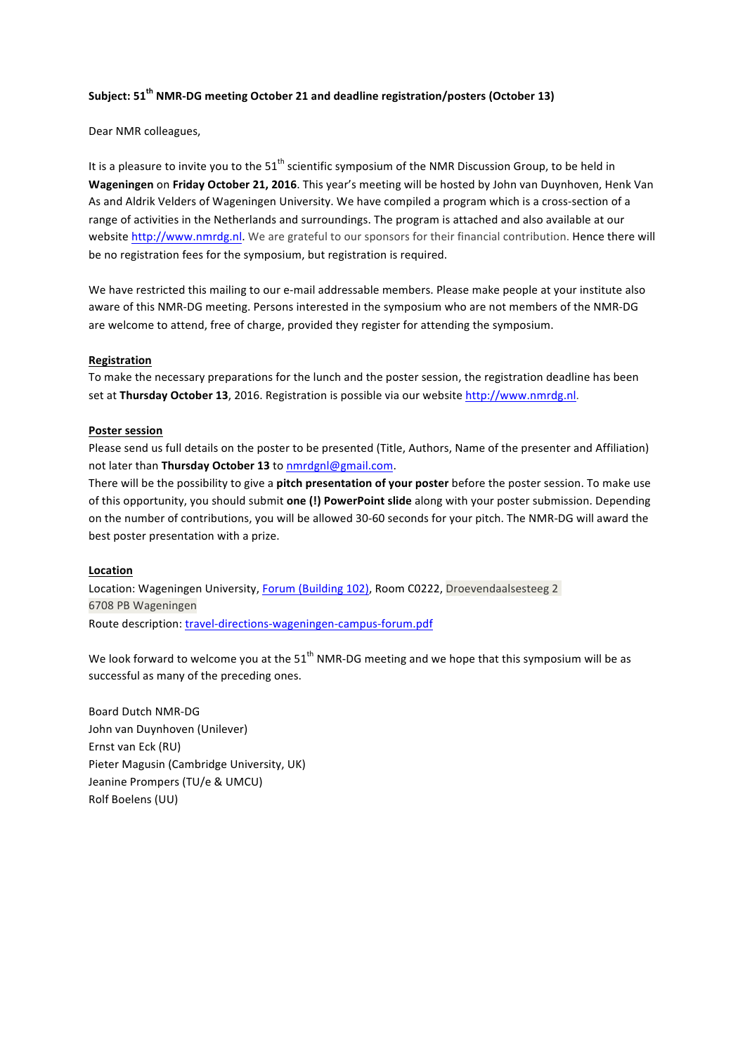## **Subject: 51th NMR-DG meeting October 21 and deadline registration/posters (October 13)**

Dear NMR colleagues,

It is a pleasure to invite you to the  $51<sup>th</sup>$  scientific symposium of the NMR Discussion Group, to be held in Wageningen on Friday October 21, 2016. This year's meeting will be hosted by John van Duynhoven, Henk Van As and Aldrik Velders of Wageningen University. We have compiled a program which is a cross-section of a range of activities in the Netherlands and surroundings. The program is attached and also available at our website http://www.nmrdg.nl. We are grateful to our sponsors for their financial contribution. Hence there will be no registration fees for the symposium, but registration is required.

We have restricted this mailing to our e-mail addressable members. Please make people at your institute also aware of this NMR-DG meeting. Persons interested in the symposium who are not members of the NMR-DG are welcome to attend, free of charge, provided they register for attending the symposium.

# **Registration**

To make the necessary preparations for the lunch and the poster session, the registration deadline has been set at Thursday October 13, 2016. Registration is possible via our website http://www.nmrdg.nl.

### **Poster session**

Please send us full details on the poster to be presented (Title, Authors, Name of the presenter and Affiliation) not later than **Thursday October 13** to nmrdgnl@gmail.com.

There will be the possibility to give a **pitch presentation of your poster** before the poster session. To make use of this opportunity, you should submit **one (!) PowerPoint slide** along with your poster submission. Depending on the number of contributions, you will be allowed 30-60 seconds for your pitch. The NMR-DG will award the best poster presentation with a prize.

# **Location**

Location: Wageningen University, Forum (Building 102), Room C0222, Droevendaalsesteeg 2 6708 PB Wageningen Route description: travel-directions-wageningen-campus-forum.pdf

We look forward to welcome you at the  $51<sup>th</sup>$  NMR-DG meeting and we hope that this symposium will be as successful as many of the preceding ones.

Board Dutch NMR-DG John van Duynhoven (Unilever) Ernst van Eck (RU) Pieter Magusin (Cambridge University, UK) Jeanine Prompers (TU/e & UMCU) Rolf Boelens (UU)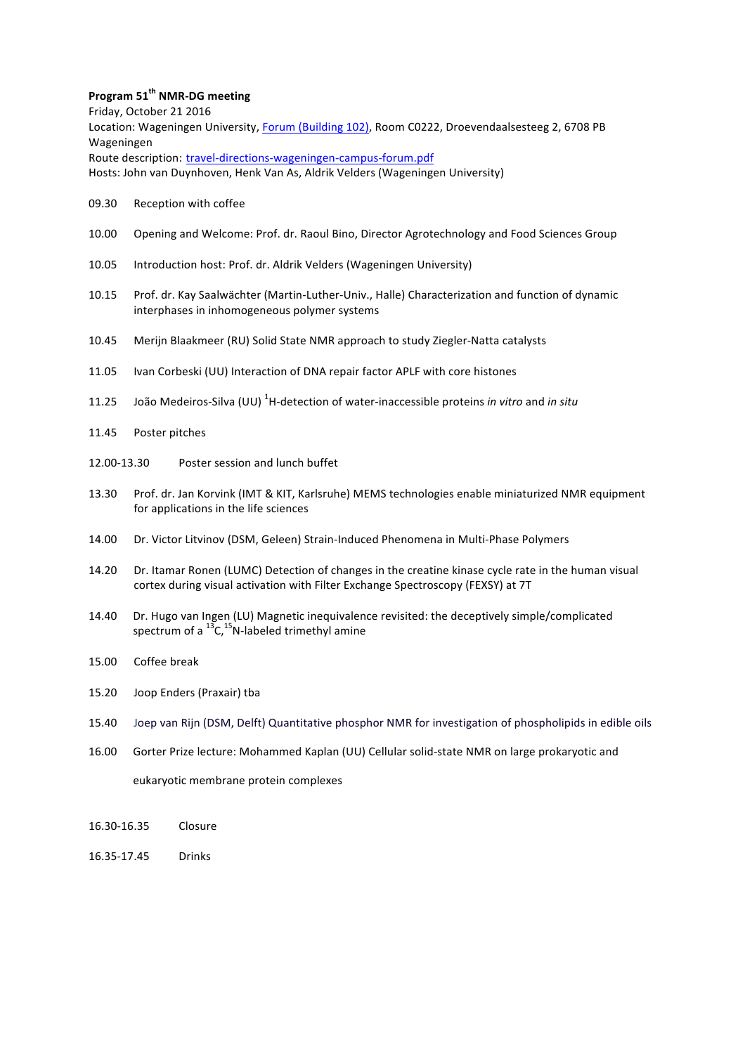# **Program 51th NMR-DG meeting**

Friday, October 21 2016 Location: Wageningen University, Forum (Building 102), Room C0222, Droevendaalsesteeg 2, 6708 PB Wageningen Route description: travel-directions-wageningen-campus-forum.pdf Hosts: John van Duynhoven, Henk Van As, Aldrik Velders (Wageningen University)

- 09.30 Reception with coffee
- 10.00 Opening and Welcome: Prof. dr. Raoul Bino, Director Agrotechnology and Food Sciences Group
- 10.05 Introduction host: Prof. dr. Aldrik Velders (Wageningen University)
- 10.15 Prof. dr. Kay Saalwächter (Martin-Luther-Univ., Halle) Characterization and function of dynamic interphases in inhomogeneous polymer systems
- 10.45 Merijn Blaakmeer (RU) Solid State NMR approach to study Ziegler-Natta catalysts
- 11.05 Ivan Corbeski (UU) Interaction of DNA repair factor APLF with core histones
- 11.25 João Medeiros-Silva (UU) <sup>1</sup>H-detection of water-inaccessible proteins *in vitro* and *in situ*
- 11.45 Poster pitches
- 12.00-13.30 Poster session and lunch buffet
- 13.30 Prof. dr. Jan Korvink (IMT & KIT, Karlsruhe) MEMS technologies enable miniaturized NMR equipment for applications in the life sciences
- 14.00 Dr. Victor Litvinov (DSM, Geleen) Strain-Induced Phenomena in Multi-Phase Polymers
- 14.20 Dr. Itamar Ronen (LUMC) Detection of changes in the creatine kinase cycle rate in the human visual cortex during visual activation with Filter Exchange Spectroscopy (FEXSY) at 7T
- 14.40 Dr. Hugo van Ingen (LU) Magnetic inequivalence revisited: the deceptively simple/complicated spectrum of a  $^{13}C$ ,<sup>15</sup>N-labeled trimethyl amine
- 15.00 Coffee break
- 15.20 Joop Enders (Praxair) tba
- 15.40 Joep van Rijn (DSM, Delft) Quantitative phosphor NMR for investigation of phospholipids in edible oils
- 16.00 Gorter Prize lecture: Mohammed Kaplan (UU) Cellular solid-state NMR on large prokaryotic and eukaryotic membrane protein complexes
- 16.30-16.35 Closure
- 16.35-17.45 Drinks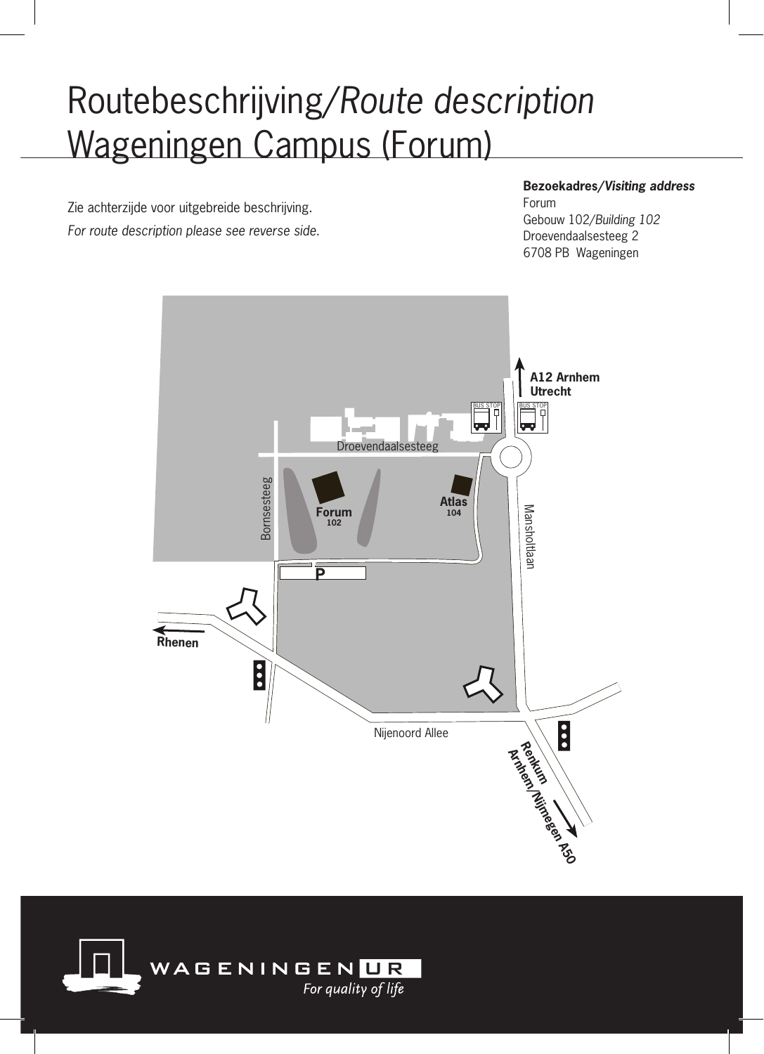# Routebeschrijving/*Route description* Wageningen Campus (Forum)

Zie achterzijde voor uitgebreide beschrijving. *For route description please see reverse side.*

#### **Bezoekadres/***Visiting address*

Forum Gebouw 102/*Building 102* Droevendaalsesteeg 2 6708 PB Wageningen